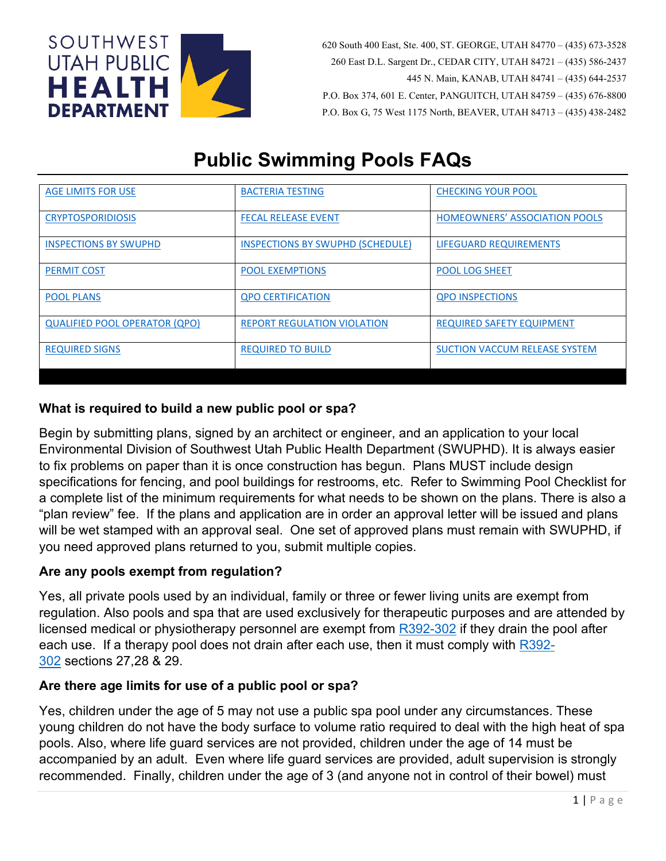

 620 South 400 East, Ste. 400, ST. GEORGE, UTAH 84770 – (435) 673-3528 260 East D.L. Sargent Dr., CEDAR CITY, UTAH 84721 – (435) 586-2437 445 N. Main, KANAB, UTAH 84741 – (435) 644-2537 P.O. Box 374, 601 E. Center, PANGUITCH, UTAH 84759 – (435) 676-8800 P.O. Box G, 75 West 1175 North, BEAVER, UTAH 84713 – (435) 438-2482

# **Public Swimming Pools FAQs**

| <b>AGE LIMITS FOR USE</b>            | <b>BACTERIA TESTING</b>                 | <b>CHECKING YOUR POOL</b>            |
|--------------------------------------|-----------------------------------------|--------------------------------------|
|                                      |                                         |                                      |
|                                      |                                         |                                      |
| <b>CRYPTOSPORIDIOSIS</b>             | <b>FECAL RELEASE EVENT</b>              | <b>HOMEOWNERS' ASSOCIATION POOLS</b> |
|                                      |                                         |                                      |
|                                      |                                         |                                      |
| <b>INSPECTIONS BY SWUPHD</b>         | <b>INSPECTIONS BY SWUPHD (SCHEDULE)</b> | LIFEGUARD REQUIREMENTS               |
|                                      |                                         |                                      |
| <b>PERMIT COST</b>                   | <b>POOL EXEMPTIONS</b>                  | <b>POOL LOG SHEET</b>                |
|                                      |                                         |                                      |
|                                      |                                         |                                      |
| <b>POOL PLANS</b>                    | <b>QPO CERTIFICATION</b>                | <b>QPO INSPECTIONS</b>               |
|                                      |                                         |                                      |
|                                      |                                         |                                      |
| <b>QUALIFIED POOL OPERATOR (QPO)</b> | <b>REPORT REGULATION VIOLATION</b>      | <b>REQUIRED SAFETY EQUIPMENT</b>     |
|                                      |                                         |                                      |
|                                      |                                         |                                      |
| <b>REQUIRED SIGNS</b>                | <b>REQUIRED TO BUILD</b>                | <b>SUCTION VACCUM RELEASE SYSTEM</b> |
|                                      |                                         |                                      |
|                                      |                                         |                                      |

# <span id="page-0-2"></span>**What is required to build a new public pool or spa?**

Begin by submitting plans, signed by an architect or engineer, and an application to your local Environmental Division of Southwest Utah Public Health Department (SWUPHD). It is always easier to fix problems on paper than it is once construction has begun. Plans MUST include design specifications for fencing, and pool buildings for restrooms, etc. Refer to Swimming Pool Checklist for a complete list of the minimum requirements for what needs to be shown on the plans. There is also a "plan review" fee. If the plans and application are in order an approval letter will be issued and plans will be wet stamped with an approval seal. One set of approved plans must remain with SWUPHD, if you need approved plans returned to you, submit multiple copies.

## <span id="page-0-1"></span>**Are any pools exempt from regulation?**

Yes, all private pools used by an individual, family or three or fewer living units are exempt from regulation. Also pools and spa that are used exclusively for therapeutic purposes and are attended by licensed medical or physiotherapy personnel are exempt from [R392-302](http://www.rules.utah.gov/publicat/code/r392/r392-302.htm) if they drain the pool after each use. If a therapy pool does not drain after each use, then it must comply with [R392-](http://www.rules.utah.gov/publicat/code/r392/r392-302.htm) [302](http://www.rules.utah.gov/publicat/code/r392/r392-302.htm) sections 27,28 & 29.

## <span id="page-0-0"></span>**Are there age limits for use of a public pool or spa?**

Yes, children under the age of 5 may not use a public spa pool under any circumstances. These young children do not have the body surface to volume ratio required to deal with the high heat of spa pools. Also, where life guard services are not provided, children under the age of 14 must be accompanied by an adult. Even where life guard services are provided, adult supervision is strongly recommended. Finally, children under the age of 3 (and anyone not in control of their bowel) must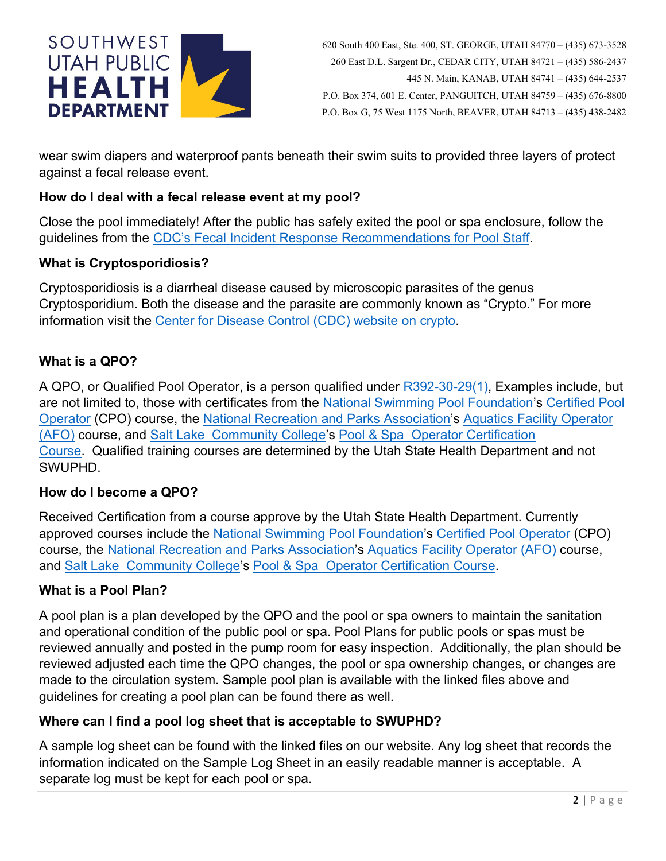

wear swim diapers and waterproof pants beneath their swim suits to provided three layers of protect against a fecal release event.

## <span id="page-1-1"></span>**How do I deal with a fecal release event at my pool?**

Close the pool immediately! After the public has safely exited the pool or spa enclosure, follow the guidelines from the [CDC's Fecal Incident Response Recommendations for Pool Staff.](http://www.cdc.gov/healthywater/pdf/swimming/pools/fecal-incident-response-recommendations.pdf)

## <span id="page-1-0"></span>**What is Cryptosporidiosis?**

Cryptosporidiosis is a diarrheal disease caused by microscopic parasites of the genus Cryptosporidium. Both the disease and the parasite are commonly known as "Crypto." For more information visit the [Center for Disease Control \(CDC\) website on crypto.](http://www.cdc.gov/parasites/crypto/)

## <span id="page-1-5"></span>**What is a QPO?**

A QPO, or Qualified Pool Operator, is a person qualified under [R392-30-29\(1\),](http://www.rules.utah.gov/publicat/code/r392/r392-302.htm#T29) Examples include, but are not limited to, those with certificates from the [National Swimming Pool Foundation'](http://nspf.com/)s Certified Pool [Operator](http://nspf.com/Two_Day_Class.html) (CPO) course, the [National Recreation and Parks](http://www.nrpa.org/) Association's [Aquatics Facility Operator](http://www.nrpa.org/Content.aspx?id=592)  [\(AFO\)](http://www.nrpa.org/Content.aspx?id=592) course, and Salt Lake [Community College'](http://www.slcc.edu/)s Pool & Spa [Operator Certification](http://www.slcc.edu/continuinged/professionaldevelopment/POOL-index.asp)  [Course.](http://www.slcc.edu/continuinged/professionaldevelopment/POOL-index.asp) Qualified training courses are determined by the Utah State Health Department and not SWUPHD.

#### <span id="page-1-4"></span>**How do I become a QPO?**

Received Certification from a course approve by the Utah State Health Department. Currently approved courses include the [National Swimming Pool Foundation'](http://nspf.com/)s [Certified Pool Operator](http://nspf.com/Two_Day_Class.html) (CPO) course, the [National Recreation and Parks Association'](http://www.nrpa.org/)s [Aquatics Facility Operator \(AFO\)](http://www.nrpa.org/Content.aspx?id=592) course, and Salt Lake [Community College'](http://www.slcc.edu/)s Pool & Spa [Operator Certification Course.](http://www.slcc.edu/continuinged/professionaldevelopment/POOL-index.asp)

#### <span id="page-1-3"></span>**What is a Pool Plan?**

A pool plan is a plan developed by the QPO and the pool or spa owners to maintain the sanitation and operational condition of the public pool or spa. Pool Plans for public pools or spas must be reviewed annually and posted in the pump room for easy inspection. Additionally, the plan should be reviewed adjusted each time the QPO changes, the pool or spa ownership changes, or changes are made to the circulation system. Sample pool plan is available with the linked files above and guidelines for creating a pool plan can be found there as well.

#### <span id="page-1-2"></span>**Where can I find a pool log sheet that is acceptable to SWUPHD?**

A sample log sheet can be found with the linked files on our website. Any log sheet that records the information indicated on the Sample Log Sheet in an easily readable manner is acceptable. A separate log must be kept for each pool or spa.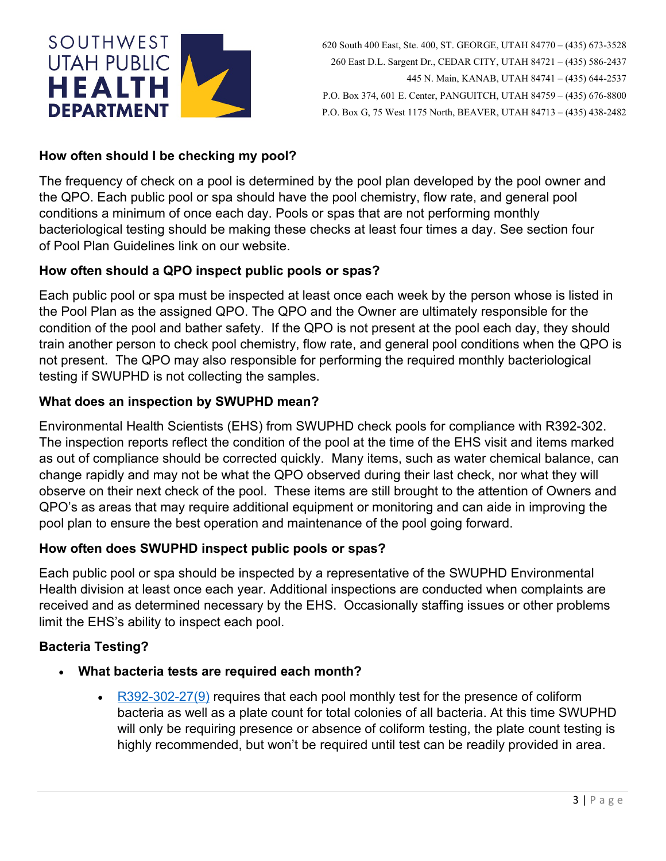

# <span id="page-2-1"></span>**How often should I be checking my pool?**

The frequency of check on a pool is determined by the pool plan developed by the pool owner and the QPO. Each public pool or spa should have the pool chemistry, flow rate, and general pool conditions a minimum of once each day. Pools or spas that are not performing monthly bacteriological testing should be making these checks at least four times a day. See section four of Pool Plan Guidelines link on our website.

## <span id="page-2-4"></span>**How often should a QPO inspect public pools or spas?**

Each public pool or spa must be inspected at least once each week by the person whose is listed in the Pool Plan as the assigned QPO. The QPO and the Owner are ultimately responsible for the condition of the pool and bather safety. If the QPO is not present at the pool each day, they should train another person to check pool chemistry, flow rate, and general pool conditions when the QPO is not present. The QPO may also responsible for performing the required monthly bacteriological testing if SWUPHD is not collecting the samples.

## <span id="page-2-2"></span>**What does an inspection by SWUPHD mean?**

Environmental Health Scientists (EHS) from SWUPHD check pools for compliance with R392-302. The inspection reports reflect the condition of the pool at the time of the EHS visit and items marked as out of compliance should be corrected quickly. Many items, such as water chemical balance, can change rapidly and may not be what the QPO observed during their last check, nor what they will observe on their next check of the pool. These items are still brought to the attention of Owners and QPO's as areas that may require additional equipment or monitoring and can aide in improving the pool plan to ensure the best operation and maintenance of the pool going forward.

#### <span id="page-2-3"></span>**How often does SWUPHD inspect public pools or spas?**

Each public pool or spa should be inspected by a representative of the SWUPHD Environmental Health division at least once each year. Additional inspections are conducted when complaints are received and as determined necessary by the EHS. Occasionally staffing issues or other problems limit the EHS's ability to inspect each pool.

## <span id="page-2-0"></span>**Bacteria Testing?**

- **What bacteria tests are required each month?**
	- $R392-302-27(9)$  requires that each pool monthly test for the presence of coliform bacteria as well as a plate count for total colonies of all bacteria. At this time SWUPHD will only be requiring presence or absence of coliform testing, the plate count testing is highly recommended, but won't be required until test can be readily provided in area.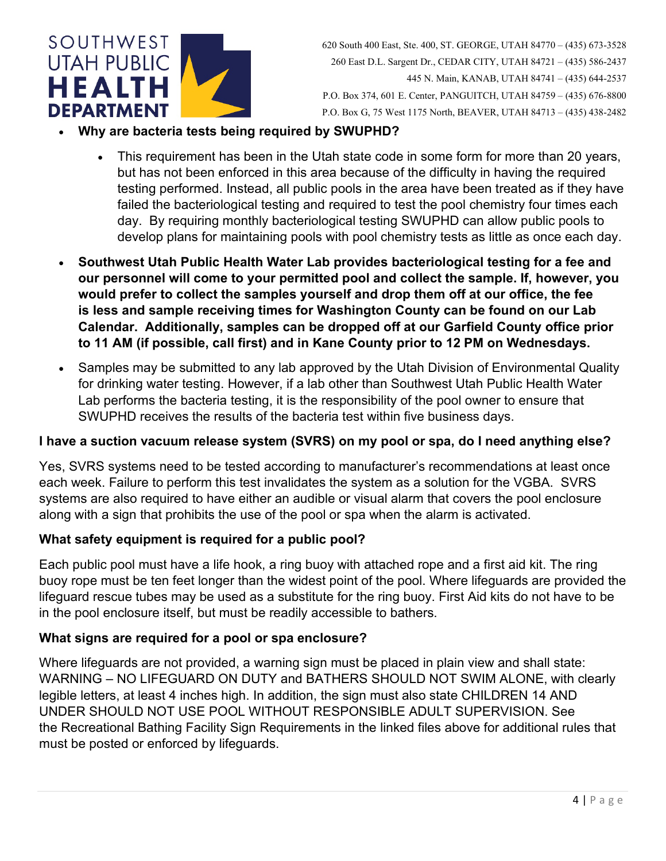

- **Why are bacteria tests being required by SWUPHD?** 
	- This requirement has been in the Utah state code in some form for more than 20 years, but has not been enforced in this area because of the difficulty in having the required testing performed. Instead, all public pools in the area have been treated as if they have failed the bacteriological testing and required to test the pool chemistry four times each day. By requiring monthly bacteriological testing SWUPHD can allow public pools to develop plans for maintaining pools with pool chemistry tests as little as once each day.
- **Southwest Utah Public Health Water Lab provides bacteriological testing for a fee and our personnel will come to your permitted pool and collect the sample. If, however, you would prefer to collect the samples yourself and drop them off at our office, the fee is less and sample receiving times for Washington County can be found on our Lab Calendar. Additionally, samples can be dropped off at our Garfield County office prior to 11 AM (if possible, call first) and in Kane County prior to 12 PM on Wednesdays.**
- Samples may be submitted to any lab approved by the Utah Division of Environmental Quality for drinking water testing. However, if a lab other than Southwest Utah Public Health Water Lab performs the bacteria testing, it is the responsibility of the pool owner to ensure that SWUPHD receives the results of the bacteria test within five business days.

## <span id="page-3-2"></span>**I have a suction vacuum release system (SVRS) on my pool or spa, do I need anything else?**

Yes, SVRS systems need to be tested according to manufacturer's recommendations at least once each week. Failure to perform this test invalidates the system as a solution for the VGBA. SVRS systems are also required to have either an audible or visual alarm that covers the pool enclosure along with a sign that prohibits the use of the pool or spa when the alarm is activated.

## <span id="page-3-0"></span>**What safety equipment is required for a public pool?**

Each public pool must have a life hook, a ring buoy with attached rope and a first aid kit. The ring buoy rope must be ten feet longer than the widest point of the pool. Where lifeguards are provided the lifeguard rescue tubes may be used as a substitute for the ring buoy. First Aid kits do not have to be in the pool enclosure itself, but must be readily accessible to bathers.

## <span id="page-3-1"></span>**What signs are required for a pool or spa enclosure?**

Where lifeguards are not provided, a warning sign must be placed in plain view and shall state: WARNING – NO LIFEGUARD ON DUTY and BATHERS SHOULD NOT SWIM ALONE, with clearly legible letters, at least 4 inches high. In addition, the sign must also state CHILDREN 14 AND UNDER SHOULD NOT USE POOL WITHOUT RESPONSIBLE ADULT SUPERVISION. See the Recreational Bathing Facility Sign Requirements in the linked files above for additional rules that must be posted or enforced by lifeguards.